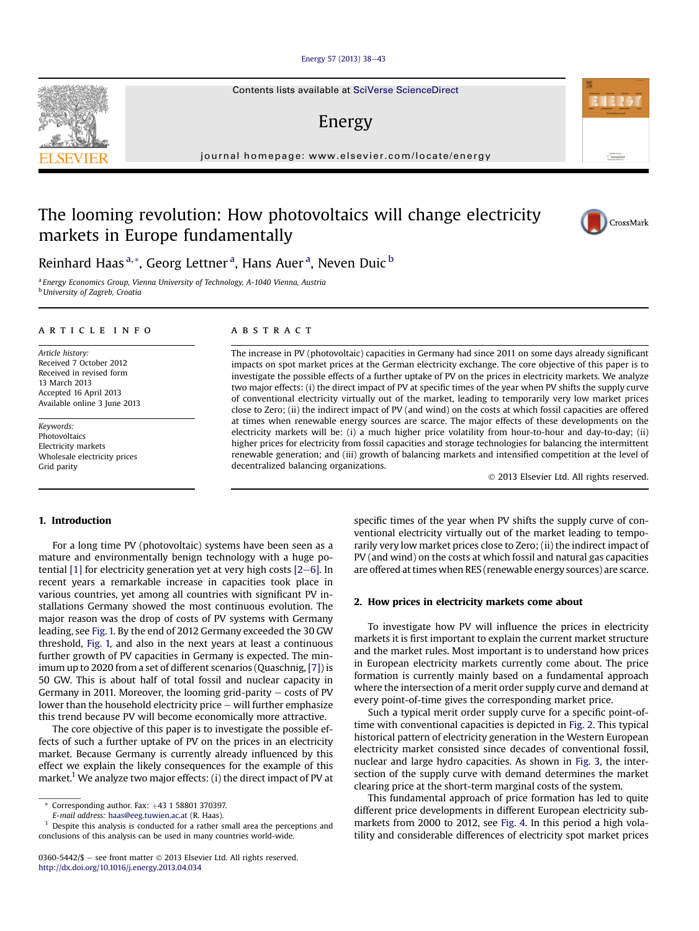#### [Energy 57 \(2013\) 38](http://dx.doi.org/10.1016/j.energy.2013.04.034)-[43](http://dx.doi.org/10.1016/j.energy.2013.04.034)

Contents lists available at SciVerse ScienceDirect

### Energy

journal homepage: [www.elsevier.com/locate/energy](http://www.elsevier.com/locate/energy)

## The looming revolution: How photovoltaics will change electricity markets in Europe fundamentally



<sup>a</sup> Energy Economics Group, Vienna University of Technology, A-1040 Vienna, Austria **b** University of Zagreb, Croatia

#### article info

Article history: Received 7 October 2012 Received in revised form 13 March 2013 Accepted 16 April 2013 Available online 3 June 2013

Keywords: Photovoltaics Electricity markets Wholesale electricity prices Grid parity

#### 1. Introduction

For a long time PV (photovoltaic) systems have been seen as a mature and environmentally benign technology with a huge potential  $[1]$  for electricity generation yet at very high costs  $[2-6]$ . In recent years a remarkable increase in capacities took place in various countries, yet among all countries with significant PV installations Germany showed the most continuous evolution. The major reason was the drop of costs of PV systems with Germany leading, see Fig. 1. By the end of 2012 Germany exceeded the 30 GW threshold, Fig. 1, and also in the next years at least a continuous further growth of PV capacities in Germany is expected. The minimum up to 2020 from a set of different scenarios (Quaschnig, [7]) is 50 GW. This is about half of total fossil and nuclear capacity in Germany in 2011. Moreover, the looming grid-parity  $-$  costs of PV lower than the household electricity price  $-$  will further emphasize this trend because PV will become economically more attractive.

The core objective of this paper is to investigate the possible effects of such a further uptake of PV on the prices in an electricity market. Because Germany is currently already influenced by this effect we explain the likely consequences for the example of this market.<sup>1</sup> We analyze two major effects: (i) the direct impact of PV at

E-mail address: [haas@eeg.tuwien.ac.at](mailto:haas@eeg.tuwien.ac.at) (R. Haas).

#### ABSTRACT

The increase in PV (photovoltaic) capacities in Germany had since 2011 on some days already significant impacts on spot market prices at the German electricity exchange. The core objective of this paper is to investigate the possible effects of a further uptake of PV on the prices in electricity markets. We analyze two major effects: (i) the direct impact of PV at specific times of the year when PV shifts the supply curve of conventional electricity virtually out of the market, leading to temporarily very low market prices close to Zero; (ii) the indirect impact of PV (and wind) on the costs at which fossil capacities are offered at times when renewable energy sources are scarce. The major effects of these developments on the electricity markets will be: (i) a much higher price volatility from hour-to-hour and day-to-day; (ii) higher prices for electricity from fossil capacities and storage technologies for balancing the intermittent renewable generation; and (iii) growth of balancing markets and intensified competition at the level of decentralized balancing organizations.

2013 Elsevier Ltd. All rights reserved.

specific times of the year when PV shifts the supply curve of conventional electricity virtually out of the market leading to temporarily very low market prices close to Zero; (ii) the indirect impact of PV (and wind) on the costs at which fossil and natural gas capacities are offered at times when RES (renewable energy sources) are scarce.

#### 2. How prices in electricity markets come about

To investigate how PV will influence the prices in electricity markets it is first important to explain the current market structure and the market rules. Most important is to understand how prices in European electricity markets currently come about. The price formation is currently mainly based on a fundamental approach where the intersection of a merit order supply curve and demand at every point-of-time gives the corresponding market price.

Such a typical merit order supply curve for a specific point-oftime with conventional capacities is depicted in Fig. 2. This typical historical pattern of electricity generation in the Western European electricity market consisted since decades of conventional fossil, nuclear and large hydro capacities. As shown in Fig. 3, the intersection of the supply curve with demand determines the market clearing price at the short-term marginal costs of the system.

This fundamental approach of price formation has led to quite different price developments in different European electricity submarkets from 2000 to 2012, see Fig. 4. In this period a high volatility and considerable differences of electricity spot market prices





Automotive at<br>ScienceDire

 $*$  Corresponding author. Fax:  $+43$  1 58801 370397.

<sup>1</sup> Despite this analysis is conducted for a rather small area the perceptions and conclusions of this analysis can be used in many countries world-wide.

<sup>0360-5442/\$ -</sup> see front matter  $\odot$  2013 Elsevier Ltd. All rights reserved. <http://dx.doi.org/10.1016/j.energy.2013.04.034>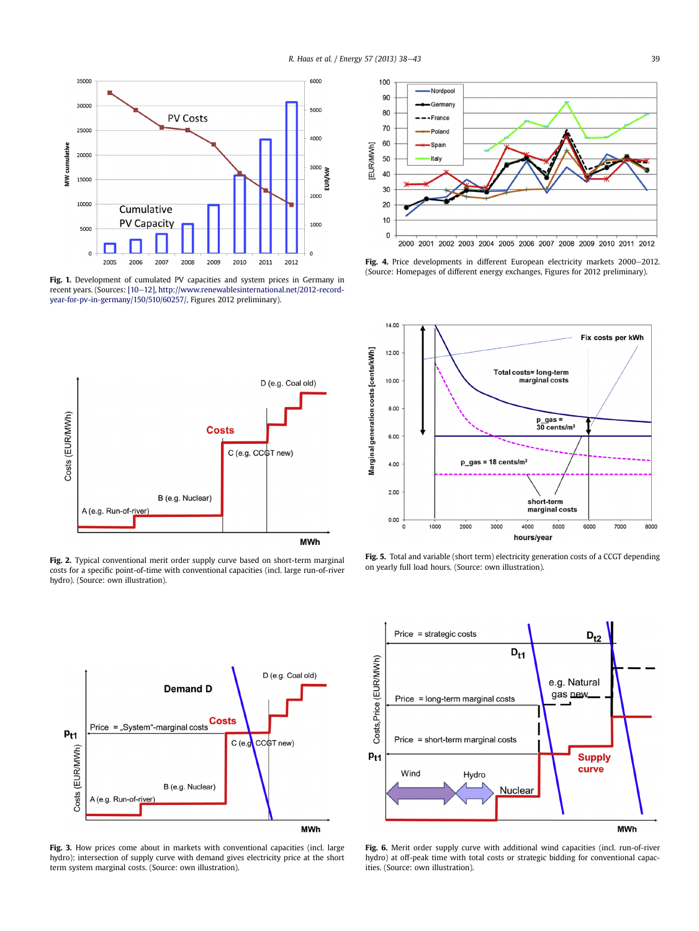

Fig. 1. Development of cumulated PV capacities and system prices in Germany in recent years. (Sources: [10-12], [http://www.renewablesinternational.net/2012-record](http://www.renewablesinternational.net/2012-record-year-for-pv-in-germany/150/510/60257/)[year-for-pv-in-germany/150/510/60257/,](http://www.renewablesinternational.net/2012-record-year-for-pv-in-germany/150/510/60257/) Figures 2012 preliminary).



Fig. 2. Typical conventional merit order supply curve based on short-term marginal costs for a specific point-of-time with conventional capacities (incl. large run-of-river hydro). (Source: own illustration).



Fig. 4. Price developments in different European electricity markets 2000-2012. (Source: Homepages of different energy exchanges, Figures for 2012 preliminary).



Fig. 5. Total and variable (short term) electricity generation costs of a CCGT depending on yearly full load hours. (Source: own illustration).



Fig. 3. How prices come about in markets with conventional capacities (incl. large hydro): intersection of supply curve with demand gives electricity price at the short term system marginal costs. (Source: own illustration).



Fig. 6. Merit order supply curve with additional wind capacities (incl. run-of-river hydro) at off-peak time with total costs or strategic bidding for conventional capacities. (Source: own illustration).